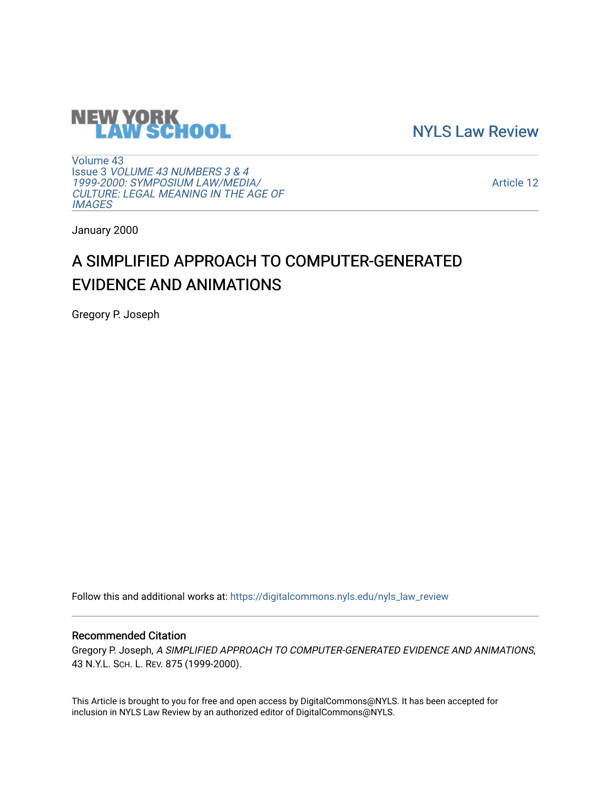

[NYLS Law Review](https://digitalcommons.nyls.edu/nyls_law_review) 

[Volume 43](https://digitalcommons.nyls.edu/nyls_law_review/vol43) Issue 3 [VOLUME 43 NUMBERS 3 & 4](https://digitalcommons.nyls.edu/nyls_law_review/vol43/iss3)  [1999-2000: SYMPOSIUM LAW/MEDIA/](https://digitalcommons.nyls.edu/nyls_law_review/vol43/iss3) [CULTURE: LEGAL MEANING IN THE AGE OF](https://digitalcommons.nyls.edu/nyls_law_review/vol43/iss3) **[IMAGES](https://digitalcommons.nyls.edu/nyls_law_review/vol43/iss3)** 

[Article 12](https://digitalcommons.nyls.edu/nyls_law_review/vol43/iss3/12) 

January 2000

# A SIMPLIFIED APPROACH TO COMPUTER-GENERATED EVIDENCE AND ANIMATIONS

Gregory P. Joseph

Follow this and additional works at: [https://digitalcommons.nyls.edu/nyls\\_law\\_review](https://digitalcommons.nyls.edu/nyls_law_review?utm_source=digitalcommons.nyls.edu%2Fnyls_law_review%2Fvol43%2Fiss3%2F12&utm_medium=PDF&utm_campaign=PDFCoverPages) 

## Recommended Citation

Gregory P. Joseph, A SIMPLIFIED APPROACH TO COMPUTER-GENERATED EVIDENCE AND ANIMATIONS, 43 N.Y.L. SCH. L. REV. 875 (1999-2000).

This Article is brought to you for free and open access by DigitalCommons@NYLS. It has been accepted for inclusion in NYLS Law Review by an authorized editor of DigitalCommons@NYLS.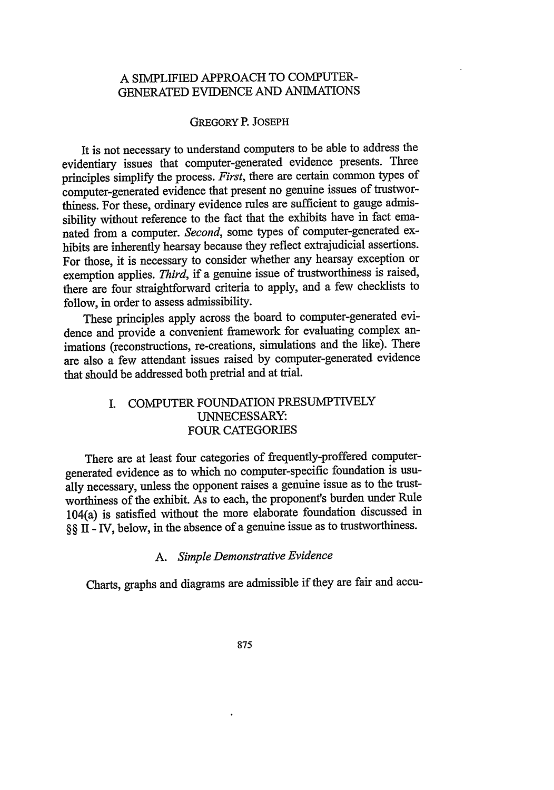## A SIMPLIFIED APPROACH TO COMPUTER-GENERATED EVIDENCE AND ANIMATIONS

## GREGORY P. **JOSEPH**

It is not necessary to understand computers to be able to address the evidentiary issues that computer-generated evidence presents. Three principles simplify the process. *First,* there are certain common types of computer-generated evidence that present no genuine issues of trustworthiness. For these, ordinary evidence rules are sufficient to gauge admissibility without reference to the fact that the exhibits have in fact emanated from a computer. *Second,* some types of computer-generated exhibits are inherently hearsay because they reflect extrajudicial assertions. For those, it is necessary to consider whether any hearsay exception or exemption applies. *Third,* if a genuine issue of trustworthiness is raised, there are four straightforward criteria to apply, and a few checklists to follow, in order to assess admissibility.

These principles apply across the board to computer-generated evidence and provide a convenient framework for evaluating complex animations (reconstructions, re-creations, simulations and the like). There are also a few attendant issues raised by computer-generated evidence that should be addressed both pretrial and at trial.

## I. COMPUTER FOUNDATION PRESUMPTIVELY UNNECESSARY: FOUR CATEGORIES

There are at least four categories of frequently-proffered computergenerated evidence as to which no computer-specific foundation is usually necessary, unless the opponent raises a genuine issue as to the trustworthiness of the exhibit. As to each, the proponent's burden under Rule 104(a) is satisfied without the more elaborate foundation discussed in §§ II **-** IV, below, in the absence of a genuine issue as to trustworthiness.

## *A. Simple Demonstrative Evidence*

Charts, graphs and diagrams are admissible if they are fair and accu-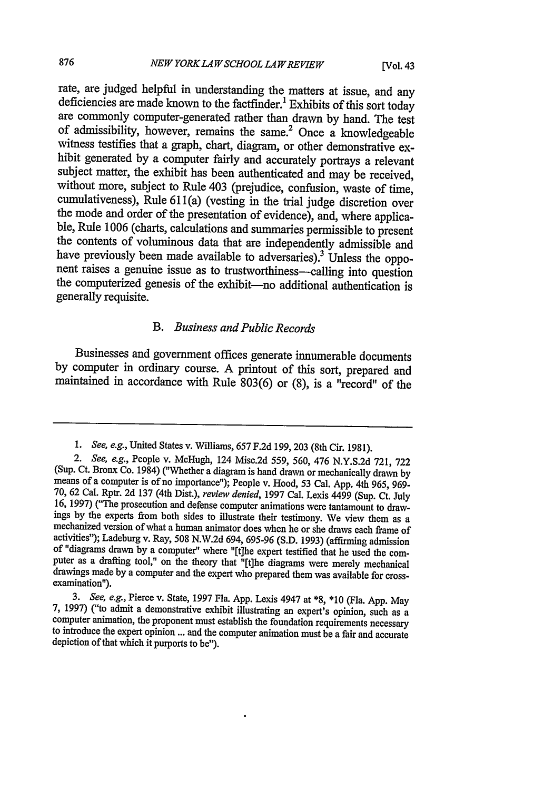rate, are judged helpful in understanding the matters at issue, and any deficiencies are made known to the factfinder.<sup>1</sup> Exhibits of this sort today are commonly computer-generated rather than drawn **by** hand. The test of admissibility, however, remains the same.2 Once a knowledgeable witness testifies that a graph, chart, diagram, or other demonstrative exhibit generated **by** a computer fairly and accurately portrays a relevant subject matter, the exhibit has been authenticated and may be received, without more, subject to Rule 403 (prejudice, confusion, waste of time, cumulativeness), Rule 611(a) (vesting in the trial judge discretion over the mode and order of the presentation of evidence), and, where applicable, Rule 1006 (charts, calculations and summaries permissible to present the contents of voluminous data that are independently admissible and have previously been made available to adversaries).<sup>3</sup> Unless the oppo-<br>nent raises a genuine issue as to trustworthiness—calling into question the computerized genesis of the exhibit--no additional authentication is generally requisite.

#### *B. Business and Public Records*

Businesses and government offices generate innumerable documents **by** computer in ordinary course. **A** printout of this sort, prepared and maintained in accordance with Rule **803(6)** or **(8),** is a "record" of the

*<sup>1.</sup> See, e.g.,* United States v. Williams, **657 F.2d 199,203** (8th Cir. **1981).**

*<sup>2.</sup> See, e.g.,* People v. McHugh, 124 Misc.2d *559, 560,* 476 **N.Y.S.2d 721, 722** (Sup. Ct. Bronx Co. 1984) ("Whether a diagram is hand drawn or mechanically drawn **by** means of a computer is of no importance"); People v. Hood, **53** Cal. **App.** 4th **965, 969-** 16, 1997) ("The prosecution and defense computer animations were tantamount to drawings by the experts from both sides to illustrate their testimony. We view them as a mechanized version of what a human animator does when of "diagrams drawn by a computer" where "[t]he expert testified that he used the computer as a drafting tool," on the theory that "[t]he diagrams were merely mechanical drawings made **by** a computer and the expert who prepared them was available for cross- examination").

<sup>3.</sup> See, e.g., Pierce v. State, 1997 Fla. App. Lexis 4947 at  $*8$ ,  $*10$  (Fla. App. May 7, 1997) ("to admit a demonstrative exhibit illustrating an expert's opinion, such as a computer animation, the proponent must establi depiction of that which it purports to be").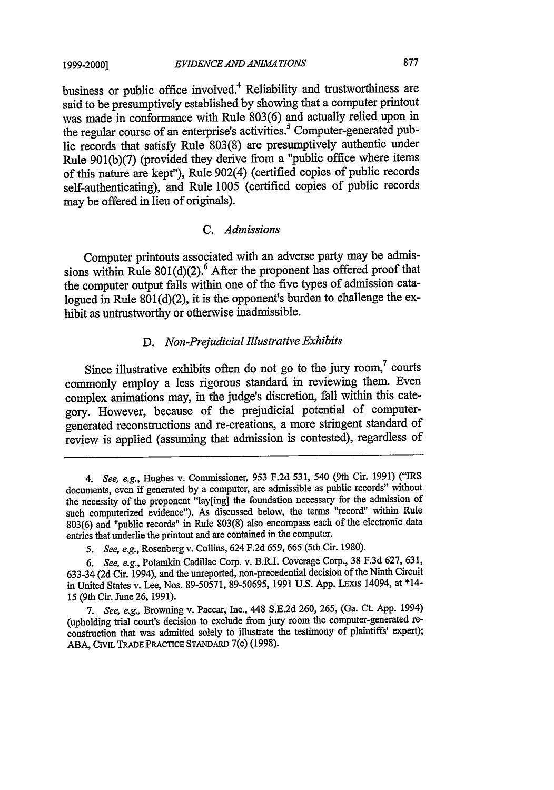#### *EVIDENCE AND ANIMATIONS*

business or public office involved.4 Reliability and trustworthiness are said to be presumptively established by showing that a computer printout was made in conformance with Rule 803(6) and actually relied upon in the regular course of an enterprise's activities.<sup>5</sup> Computer-generated public records that satisfy Rule 803(8) are presumptively authentic under Rule 901(b)(7) (provided they derive from a "public office where items of this nature are kept"), Rule 902(4) (certified copies of public records self-authenticating), and Rule 1005 (certified copies of public records may be offered in lieu of originals).

#### *C. Admissions*

Computer printouts associated with an adverse party may be admissions within Rule  $801(d)(2)$ <sup>6</sup> After the proponent has offered proof that the computer output falls within one of the five types of admission catalogued in Rule  $801(d)(2)$ , it is the opponent's burden to challenge the exhibit as untrustworthy or otherwise inadmissible.

#### *D. Non-Prejudicial illustrative Exhibits*

Since illustrative exhibits often do not go to the jury room,<sup>7</sup> courts commonly employ a less rigorous standard in reviewing them. Even complex animations may, in the judge's discretion, fall within this category. However, because of the prejudicial potential of computergenerated reconstructions and re-creations, a more stringent standard of review is applied (assuming that admission is contested), regardless of

*<sup>4.</sup> See, e.g.,* Hughes v. Commissioner, 953 F.2d 531, 540 (9th Cir. 1991) ("IRS documents, even if generated by a computer, are admissible as public records" without the necessity of the proponent "lay[ing] the foundation necessary for the admission of such computerized evidence"). As discussed below, the terms "record" within Rule 803(6) and "public records" in Rule 803(8) also encompass each of the electronic data entries that underlie the printout and are contained in the computer.

*<sup>5.</sup> See, e.g.,* Rosenberg v. Collins, 624 F.2d 659, 665 (5th Cir. 1980).

*<sup>6.</sup> See, e.g.,* Potamkin Cadillac Corp. v. B.R.I. Coverage Corp., 38 F.3d 627, 631, 633-34 (2d Cir. 1994), and the unreported, non-precedential decision of the Ninth Circuit in United States v. Lee, Nos. 89-50571, 89-50695, 1991 U.S. App. LEXIS 14094, at \*14-15 (9th Cir. June 26, 1991).

*<sup>7.</sup> See, e.g.,* Browning v. Paccar, Inc., 448 S.E.2d 260, 265, (Ga. Ct. App. 1994) (upholding trial court's decision to exclude from jury room the computer-generated reconstruction that was admitted solely to illustrate the testimony of plaintiffs' expert); ABA, CIVIL TRADE PRACTICE **STANDARD** 7(c) (1998).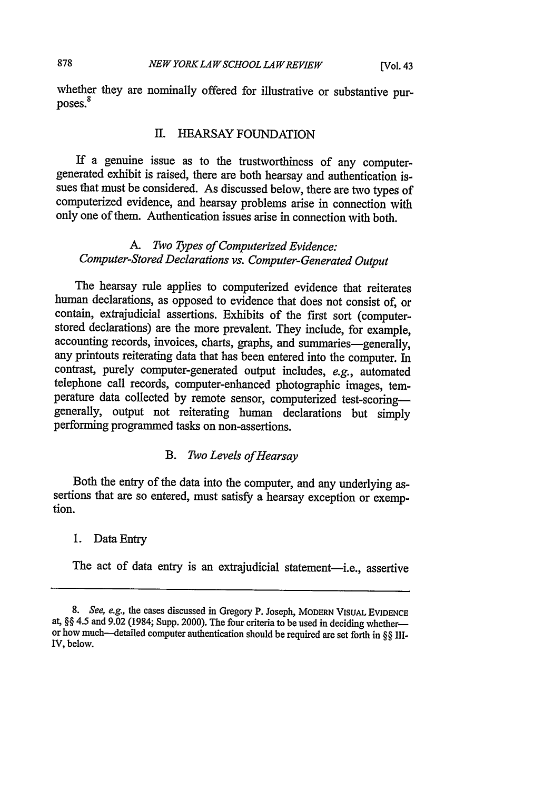whether they are nominally offered for illustrative or substantive purposes.<sup>8</sup>

### II. HEARSAY FOUNDATION

If a genuine issue as to the trustworthiness of any computergenerated exhibit is raised, there are both hearsay and authentication issues that must be considered. As discussed below, there are two types of computerized evidence, and hearsay problems arise in connection with only one of them. Authentication issues arise in connection with both.

## *A. Two Types of Computerized Evidence: Computer-Stored Declarations vs. Computer-Generated Output*

The hearsay rule applies to computerized evidence that reiterates human declarations, as opposed to evidence that does not consist of, or contain, extrajudicial assertions. Exhibits of the first sort (computerstored declarations) are the more prevalent. They include, for example, accounting records, invoices, charts, graphs, and summaries-generally, any printouts reiterating data that has been entered into the computer. In contrast, purely computer-generated output includes, *e.g.,* automated telephone call records, computer-enhanced photographic images, temperature data collected by remote sensor, computerized test-scoringgenerally, output not reiterating human declarations but simply performing programmed tasks on non-assertions.

## *B. Two Levels of Hearsay*

Both the entry of the data into the computer, and any underlying assertions that are so entered, must satisfy a hearsay exception or exemption.

#### 1. Data Entry

The act of data entry is an extrajudicial statement-i.e., assertive

<sup>8.</sup> *See, e.g., the cases discussed in Gregory P. Joseph, MODERN VISUAL EVIDENCE* at, §§ 4.5 and 9.02 (1984; Supp. 2000). The four criteria to be used in deciding whether—<br>or how much—detailed computer authentication should be required are set forth in §§ III-IV, below.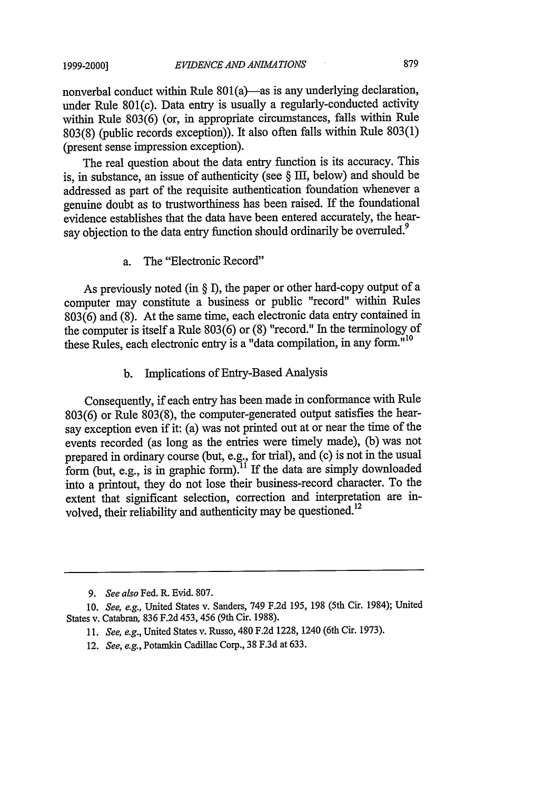nonverbal conduct within Rule  $801(a)$ —as is any underlying declaration, under Rule 801(c). Data entry is usually a regularly-conducted activity within Rule 803(6) (or, in appropriate circumstances, falls within Rule 803(8) (public records exception)). It also often falls within Rule 803(1) (present sense impression exception).

The real question about the data entry function is its accuracy. This is, in substance, an issue of authenticity (see § II, below) and should be addressed as part of the requisite authentication foundation whenever a genuine doubt as to trustworthiness has been raised. If the foundational evidence establishes that the data have been entered accurately, the hearsay objection to the data entry function should ordinarily be overruled.<sup>9</sup>

a. The "Electronic Record"

As previously noted (in  $\S$  I), the paper or other hard-copy output of a computer may constitute a business or public "record" within Rules 803(6) and (8). At the same time, each electronic data entry contained in the computer is itself a Rule 803(6) or (8) "record." In the terminology of these Rules, each electronic entry is a "data compilation, in any form."<sup>10</sup>

b. Implications of Entry-Based Analysis

Consequently, if each entry has been made in conformance with Rule 803(6) or Rule 803(8), the computer-generated output satisfies the hearsay exception even if it: (a) was not printed out at or near the time of the events recorded (as long as the entries were timely made), (b) was not prepared in ordinary course (but, e.g., for trial), and (c) is not in the usual form (but, e.g., is in graphic form).<sup>11</sup> If the data are simply downloaded into a printout, they do not lose their business-record character. To the extent that significant selection, correction and interpretation are involved, their reliability and authenticity may be questioned.<sup>12</sup>

12. *See, e.g., Potamkin Cadillac Corp., 38 F.3d at 633.* 

*<sup>9.</sup> See also* Fed. R. Evid. 807.

*<sup>10.</sup> See, e.g.,* United States v. Sanders, 749 F.2d 195, 198 (5th Cir. 1984); United States v. Catabran, 836 F.2d 453, 456 (9th Cir. 1988).

*<sup>11.</sup> See, e.g.,* United States v. Russo, 480 F.2d 1228, 1240 (6th Cir. 1973).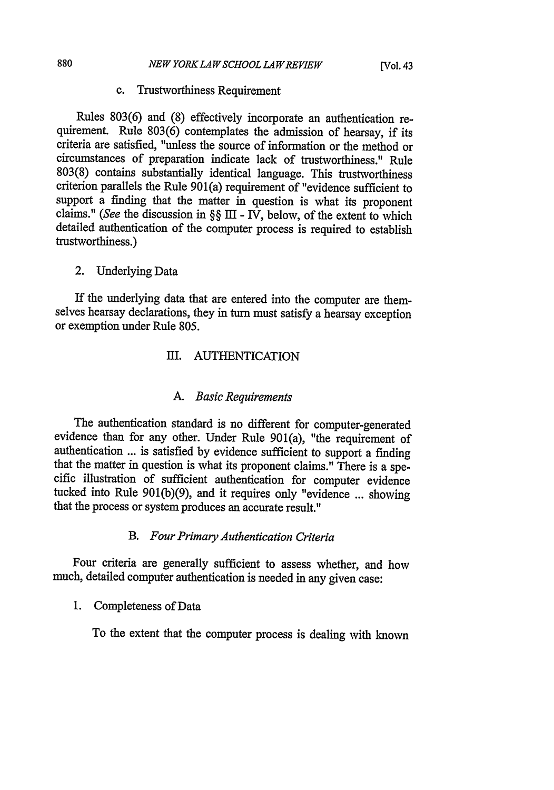#### c. Trustworthiness Requirement

Rules 803(6) and (8) effectively incorporate an authentication requirement. Rule 803(6) contemplates the admission of hearsay, if its criteria are satisfied, "unless the source of information or the method or circumstances of preparation indicate lack of trustworthiness." Rule 803(8) contains substantially identical language. This trustworthiness criterion parallels the Rule 901(a) requirement of "evidence sufficient to support a finding that the matter in question is what its proponent claims." *(See* the discussion in §§ III - IV, below, of the extent to which detailed authentication of the computer process is required to establish trustworthiness.)

## 2. Underlying Data

If the underlying data that are entered into the computer are themselves hearsay declarations, they in turn must satisfy a hearsay exception or exemption under Rule 805.

## III. AUTHENTICATION

#### *A. Basic Requirements*

The authentication standard is no different for computer-generated evidence than for any other. Under Rule 901(a), "the requirement of authentication ... is satisfied by evidence sufficient to support a finding that the matter in question is what its proponent claims." There is a specific illustration of sufficient authentication for computer evidence tucked into Rule 901(b)(9), and it requires only "evidence ... showing that the process or system produces an accurate result."

#### *B. Four Primary Authentication Criteria*

Four criteria are generally sufficient to assess whether, and how much, detailed computer authentication is needed in any given case:

#### 1. Completeness of Data

To the extent that the computer process is dealing with known

880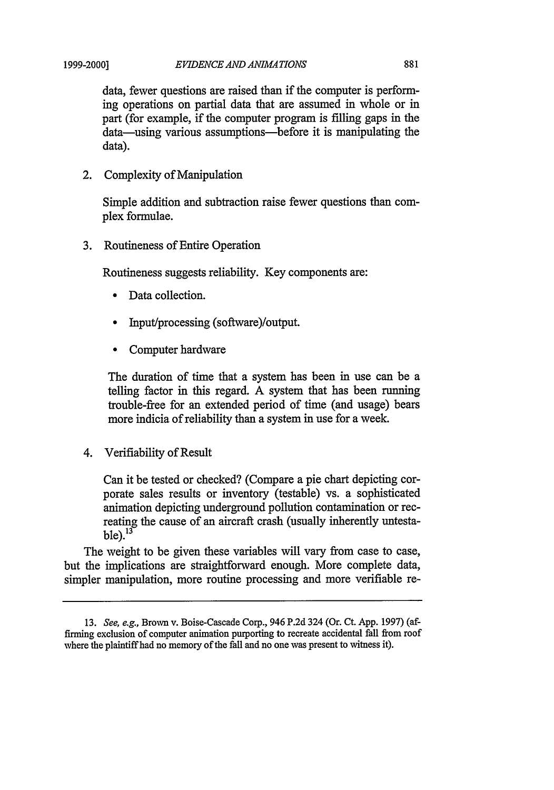data, fewer questions are raised than if the computer is performing operations on partial data that are assumed in whole or in part (for example, if the computer program is filling gaps in the data—using various assumptions—before it is manipulating the data).

2. Complexity of Manipulation

Simple addition and subtraction raise fewer questions than complex formulae.

3. Routineness of Entire Operation

Routineness suggests reliability. Key components are:

- Data collection.
- **"** Input/processing (software)/output.
- \* Computer hardware

The duration of time that a system has been in use can be a telling factor in this regard. A system that has been running trouble-free for an extended period of time (and usage) bears more indicia of reliability than a system in use for a week.

4. Verifiability of Result

Can it be tested or checked? (Compare a pie chart depicting corporate sales results or inventory (testable) vs. a sophisticated animation depicting underground pollution contamination or recreating the cause of an aircraft crash (usually inherently untesta $ble).<sup>13</sup>$ 

The weight to be given these variables will vary from case to case, but the implications are straightforward enough. More complete data, simpler manipulation, more routine processing and more verifiable re-

<sup>13.</sup> *See, e.g.,* Brown v. Boise-Cascade Corp., 946 P.2d 324 (Or. Ct. App. 1997) (affirming exclusion of computer animation purporting to recreate accidental fall from roof where the plaintiff had no memory of the fall and no one was present to witness it).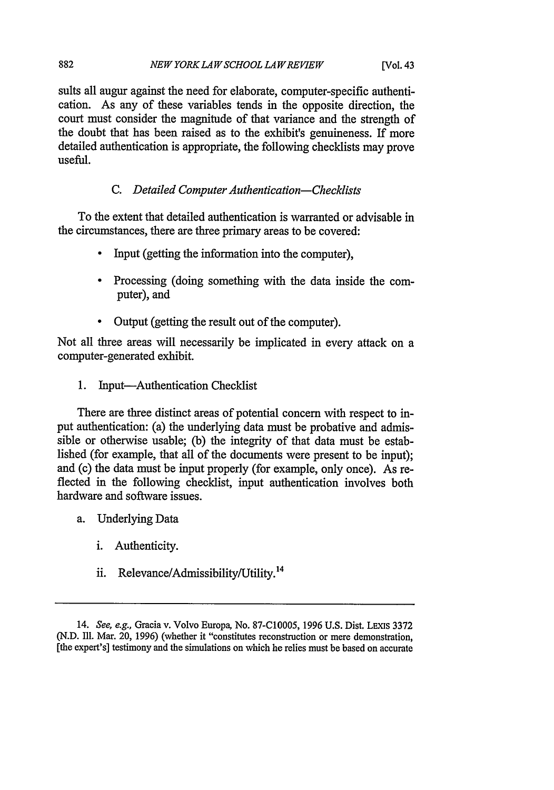suits all augur against the need for elaborate, computer-specific authentication. As any of these variables tends in the opposite direction, the court must consider the magnitude of that variance and the strength of the doubt that has been raised as to the exhibit's genuineness. If more detailed authentication is appropriate, the following checklists may prove useful.

## *C. Detailed Computer Authentication-Checklists*

To the extent that detailed authentication is warranted or advisable in the circumstances, there are three primary areas to be covered:

- **"** Input (getting the information into the computer),
- \* Processing (doing something with the data inside the computer), and
- Output (getting the result out of the computer).

Not all three areas will necessarily be implicated in every attack on a computer-generated exhibit.

1. Input-Authentication Checklist

There are three distinct areas of potential concern with respect to input authentication: (a) the underlying data must be probative and admissible or otherwise usable; (b) the integrity of that data must be established (for example, that all of the documents were present to be input); and (c) the data must be input properly (for example, only once). As reflected in the following checklist, input authentication involves both hardware and software issues.

- a. Underlying Data
	- i. Authenticity.
	- ii. Relevance/Admissibility/Utility. <sup>14</sup>

882

<sup>14.</sup> See, e.g., Gracia v. Volvo Europa, No. 87-C10005, 1996 U.S. Dist. LEXIs 3372 (N.D. Ill. Mar. 20, 1996) (whether it "constitutes reconstruction or mere demonstration, [the expert's] testimony and the simulations on which he relies must be based on accurate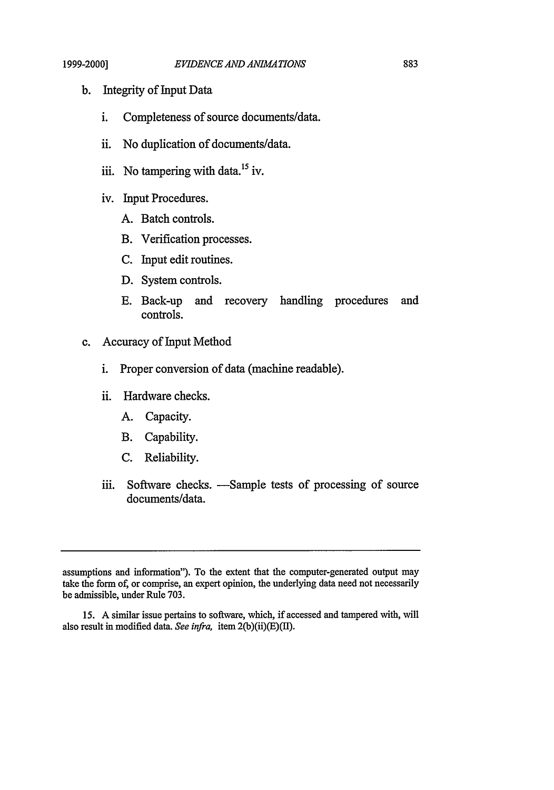- b. Integrity of Input Data
	- i. Completeness of source documents/data.
	- ii. No duplication of documents/data.
	- iii. No tampering with data.<sup>15</sup> iv.
	- iv. Input Procedures.
		- A. Batch controls.
		- B. Verification processes.
		- C. Input edit routines.
		- D. System controls.
		- E. Back-up and recovery handling procedures and controls.
- c. Accuracy of Input Method
	- i. Proper conversion of data (machine readable).
	- ii. Hardware checks.
		- A. Capacity.
		- B. Capability.
		- C. Reliability.
	- iii. Software checks. —Sample tests of processing of source documents/data.

assumptions and information"). To the extent that the computer-generated output may take the form of, or comprise, an expert opinion, the underlying data need not necessarily be admissible, under Rule 703.

<sup>15.</sup> A similar issue pertains to software, which, if accessed and tampered with, will also result in modified data. *See infra,* item 2(b)(ii)(E)(II).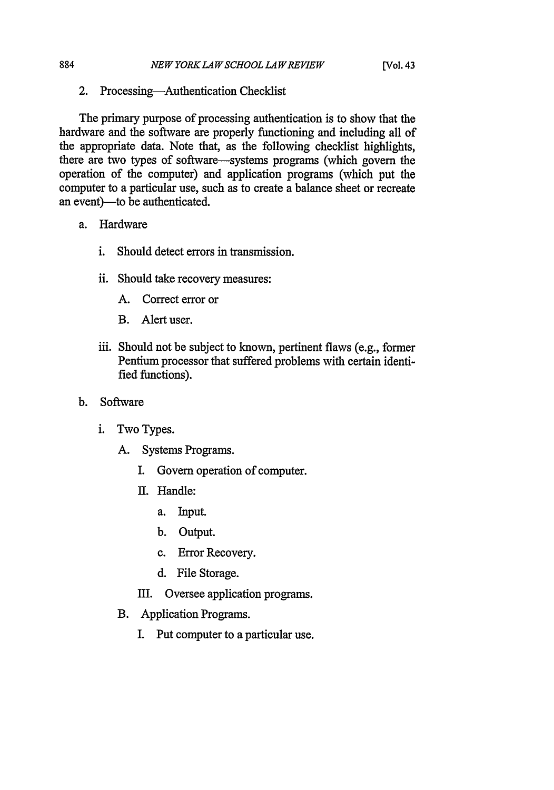2. Processing-Authentication Checklist

The primary purpose of processing authentication is to show that the hardware and the software are properly functioning and including all of the appropriate data. Note that, as the following checklist highlights, there are two types of software-systems programs (which govern the operation of the computer) and application programs (which put the computer to a particular use, such as to create a balance sheet or recreate an event)-to be authenticated.

a. Hardware

884

- i. Should detect errors in transmission.
- ii. Should take recovery measures:
	- A. Correct error or
	- B. Alert user.
- iii. Should not be subject to known, pertinent flaws (e.g., former Pentium processor that suffered problems with certain identified functions).
- b. Software
	- i. Two Types.
		- A. Systems Programs.
			- I. Govern operation of computer.
			- II. Handle:
				- a. Input.
				- b. Output.
				- c. Error Recovery.
				- d. File Storage.
			- HI. Oversee application programs.
		- B. Application Programs.
			- I. Put computer to a particular use.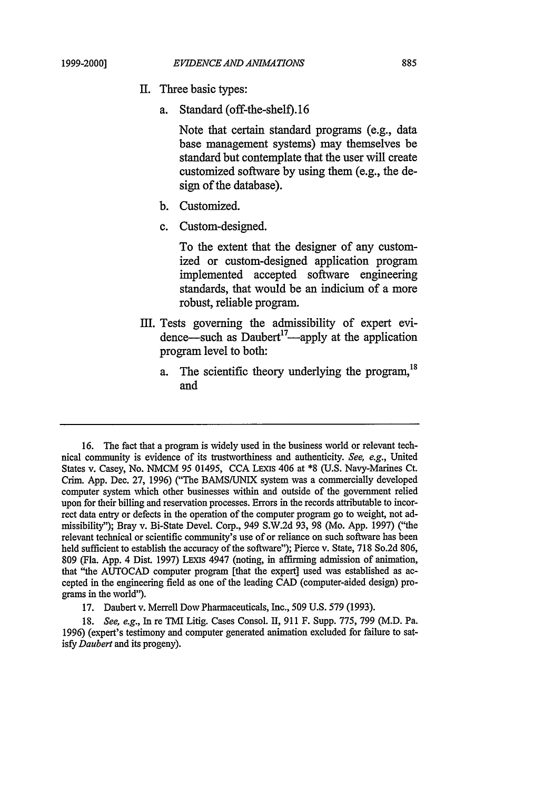- II. Three basic types:
	- a. Standard (off-the-shelf).16

Note that certain standard programs (e.g., data base management systems) may themselves be standard but contemplate that the user will create customized software by using them (e.g., the design of the database).

- b. Customized.
- c. Custom-designed.

To the extent that the designer of any customized or custom-designed application program implemented accepted software engineering standards, that would be an indicium of a more robust, reliable program.

- III. Tests governing the admissibility of expert evidence—such as Daubert<sup>17</sup>—apply at the application program level to both:
	- a. The scientific theory underlying the program,  $^{18}$ and

<sup>16.</sup> The fact that a program is widely used in the business world or relevant technical community is evidence of its trustworthiness and authenticity. *See, e.g.,* United States v. Casey, No. NMCM 95 01495, CCA LExis 406 at \*8 (U.S. Navy-Marines Ct. Crim. App. Dec. 27, 1996) ("The BAMS/UNIX system was a commercially developed computer system which other businesses within and outside of the government relied upon for their billing and reservation processes. Errors in the records attributable to incorrect data entry or defects in the operation of the computer program go to weight, not admissibility"); Bray v. Bi-State Devel. Corp., 949 S.W.2d 93, 98 (Mo. App. 1997) ("the relevant technical or scientific community's use of or reliance on such software has been held sufficient to establish the accuracy of the software"); Pierce v. State, 718 So.2d 806, 809 (Fla. App. 4 Dist. 1997) LExIs 4947 (noting, in affirming admission of animation, that "the AUTOCAD computer program [that the expert] used was established as accepted in the engineering field as one of the leading CAD (computer-aided design) programs in the world").

<sup>17.</sup> Daubert v. Merrell Dow Pharmaceuticals, Inc., 509 U.S. 579 (1993).

<sup>18.</sup> *See, e.g.,* In re TMI Litig. Cases Consol. II, 911 F. Supp. 775, 799 (M.D. Pa. 1996) (expert's testimony and computer generated animation excluded for failure to satisfy *Daubert* and its progeny).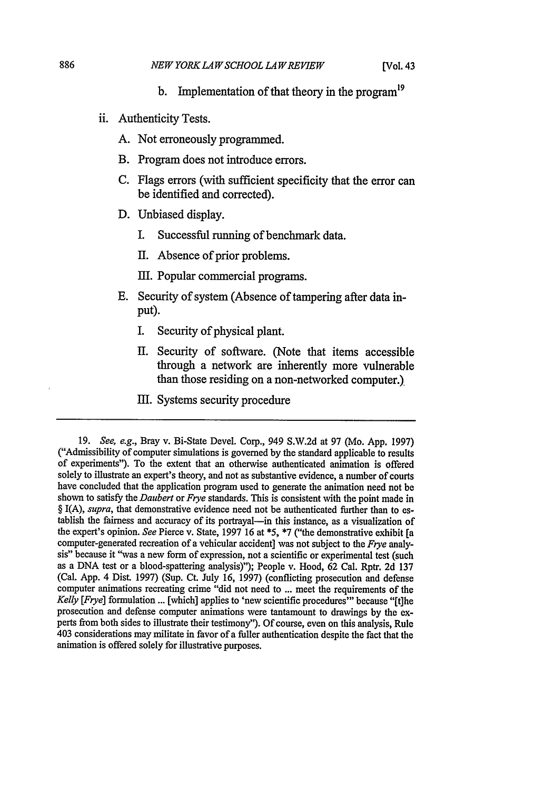- **b.** Implementation of that theory in the program<sup>19</sup>
- ii. Authenticity Tests.
	- A. Not erroneously programmed.
	- B. Program does not introduce errors.
	- C. Flags errors (with sufficient specificity that the error can be identified and corrected).
	- D. Unbiased display.
		- I. Successful running of benchmark data.
		- II. Absence of prior problems.
		- III. Popular commercial programs.
	- E. Security of system (Absence of tampering after data input).
		- I. Security of physical plant.
		- II. Security of software. (Note that items accessible through a network are inherently more vulnerable than those residing on a non-networked computer.),
		- III. Systems security procedure

<sup>19.</sup> See, e.g., Bray v. Bi-State Devel. Corp., 949 S.W.2d at 97 (Mo. App. 1997) ("Admissibility of computer simulations is governed by the standard applicable to results of experiments"). To the extent that an otherwise authenticated animation is offered solely to illustrate an expert's theory, and not as substantive evidence, a number of courts have concluded that the application program used to generate the animation need not be shown to satisfy the *Daubert* or *Frye* standards. This is consistent with the point made in § I(A), *supra*, that demonstrative evidence need not be authenticated further than to establish the fairness and accuracy of its portrayal-in this instance, as a visualization of the expert's opinion. *See* Pierce v. State, 1997 16 at \*5, \*7 ("the demonstrative exhibit [a computer-generated recreation of a vehicular accident] was not subject to the *Frye* analysis" because it "was a new form of expression, not a scientific or experimental test (such as a DNA test or a blood-spattering analysis)"); People v. Hood, 62 Cal. Rptr. 2d 137 (Cal. App. 4 Dist. 1997) (Sup. Ct. July 16, 1997) (conflicting prosecution and defense computer animations recreating crime "did not need to ... meet the requirements of the *Kelly [Frye]* formulation ... [which] applies to 'new scientific procedures'" because "[t]he prosecution and defense computer animations were tantamount to drawings **by** the **ex-** perts from both sides to illustrate their testimony"). Of course, even on this analysis, Rule 403 considerations may militate in favor of a fuller authentication despite the fact that the animation is offered solely for illustrative purposes.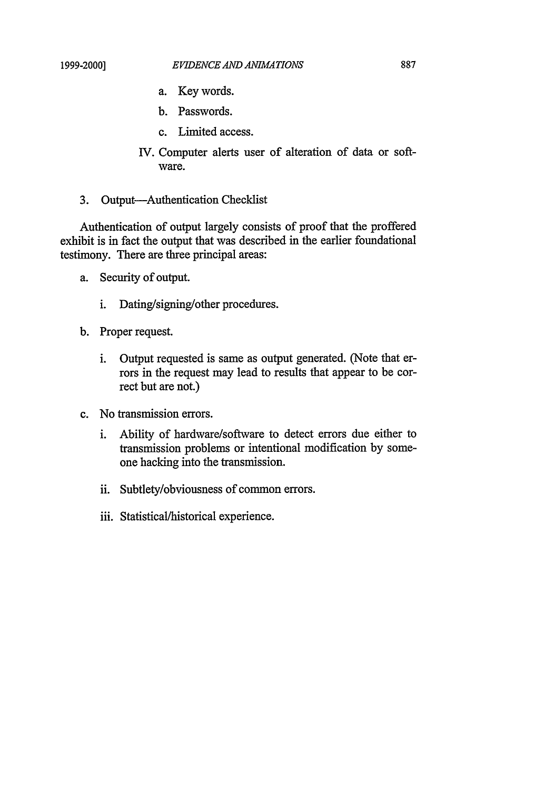- a. Key words.
- b. Passwords.
- c. Limited access.
- IV. Computer alerts user of alteration of data or software.
- 3. Output-Authentication Checklist

Authentication of output largely consists of proof that the proffered exhibit is in fact the output that was described in the earlier foundational testimony. There are three principal areas:

- a. Security of output.
	- i. Dating/signing/other procedures.
- b. Proper request.
	- i. Output requested is same as output generated. (Note that errors in the request may lead to results that appear to be correct but are not.)
- c. No transmission errors.
	- i. Ability of hardware/software to detect errors due either to transmission problems or intentional modification by someone hacking into the transmission.
	- ii. Subtlety/obviousness of common errors.
	- iii. Statistical/historical experience.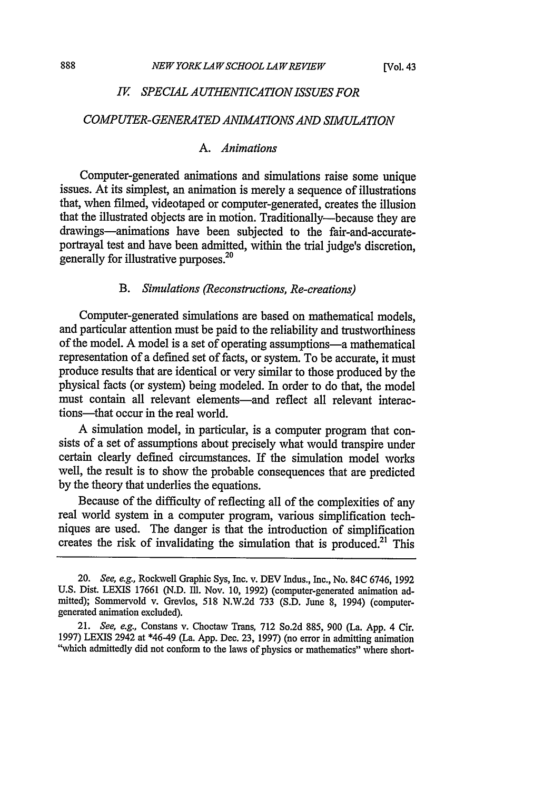#### *IV SPECIAL A UTHENTICATION ISSUES FOR*

#### *COMPUTER-GENERATED ANIMA TIONS AND SIMULATION*

#### *A. Animations*

Computer-generated animations and simulations raise some unique issues. At its simplest, an animation is merely a sequence of illustrations that, when filmed, videotaped or computer-generated, creates the illusion that the illustrated objects are in motion. Traditionally-because they are drawings-animations have been subjected to the fair-and-accurateportrayal test and have been admitted, within the trial judge's discretion, generally for illustrative purposes.20

## *B. Simulations (Reconstructions, Re-creations)*

Computer-generated simulations are based on mathematical models, and particular attention must be paid to the reliability and trustworthiness of the model. A model is a set of operating assumptions-a mathematical representation of a defined set of facts, or system. To be accurate, it must produce results that are identical or very similar to those produced by the physical facts (or system) being modeled. In order to do that, the model must contain all relevant elements-and reflect all relevant interactions-that occur in the real world.

A simulation model, in particular, is a computer program that consists of a set of assumptions about precisely what would transpire under certain clearly defined circumstances. If the simulation model works well, the result is to show the probable consequences that are predicted by the theory that underlies the equations.

Because of the difficulty of reflecting all of the complexities of any real world system in a computer program, various simplification techniques are used. The danger is that the introduction of simplification creates the risk of invalidating the simulation that is produced.<sup>21</sup> This

<sup>20.</sup> See, e.g., Rockwell Graphic Sys, Inc. v. DEV Indus., Inc., No. 84C 6746, 1992 U.S. Dist. LEXIS 17661 (N.D. Ill. Nov. 10, 1992) (computer-generated animation admitted); Sommervold v. Grevlos, 518 N.W.2d 733 (S.D. June 8, 1994) (computergenerated animation excluded).

<sup>21.</sup> *See, e.g.,* Constans v. Choctaw Trans, 712 So.2d 885, 900 (La. App. 4 Cir. 1997) LEXIS 2942 at \*46-49 (La. App. Dec. 23, 1997) (no error in admitting animation "which admittedly did not conform to the laws of physics or mathematics" where short-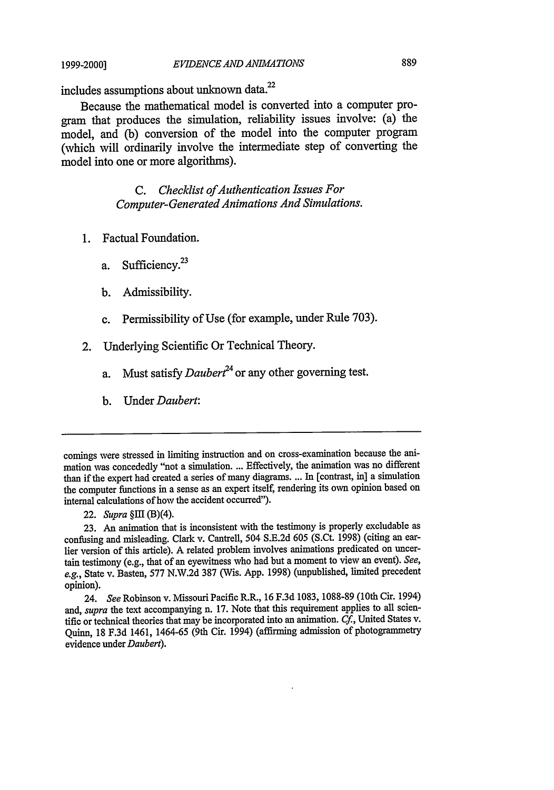#### *EVIDENCE AND ANIMATIONS*

includes assumptions about unknown data.<sup>22</sup>

Because the mathematical model is converted into a computer program that produces the simulation, reliability issues involve: (a) the model, and (b) conversion of the model into the computer program (which will ordinarily involve the intermediate step of converting the model into one or more algorithms).

> *C. Checklist ofAuthentication Issues For Computer-Generated Animations And Simulations.*

- 1. Factual Foundation.
	- a. Sufficiency.<sup>23</sup>
	- b. Admissibility.
	- c. Permissibility of Use (for example, under Rule 703).
- 2. Underlying Scientific Or Technical Theory.
	- a. Must satisfy *Dauber?4* or any other governing test.
	- b. Under *Daubert:*

23. An animation that is inconsistent with the testimony is properly excludable as confusing and misleading. Clark v. Cantrell, 504 S.E.2d 605 (S.Ct. 1998) (citing an earlier version of this article). A related problem involves animations predicated on uncertain testimony (e.g., that of an eyewitness who had but a moment to view an event). See, *e.g.,* State v. Basten, 577 N.W.2d 387 (Wis. App. 1998) (unpublished, limited precedent opinion).

24. *See* Robinson v. Missouri Pacific R.R., 16 F.3d 1083, 1088-89 (10th Cir. 1994) and, *supra* the text accompanying n. 17. Note that this requirement applies to all scientific or technical theories that may be incorporated into an animation. *Cf.,* United States v. Quinn, 18 F.3d 1461, 1464-65 (9th Cir. 1994) (affirming admission of photogrammetry evidence under *Daubert).*

comings were stressed in limiting instruction and on cross-examination because the animation was concededly "not a simulation.... Effectively, the animation was no different than if the expert had created a series of many diagrams.... In [contrast, in] a simulation the computer functions in a sense as an expert itself, rendering its own opinion based on internal calculations of how the accident occurred").

<sup>22.</sup> *Supra* §III (B)(4).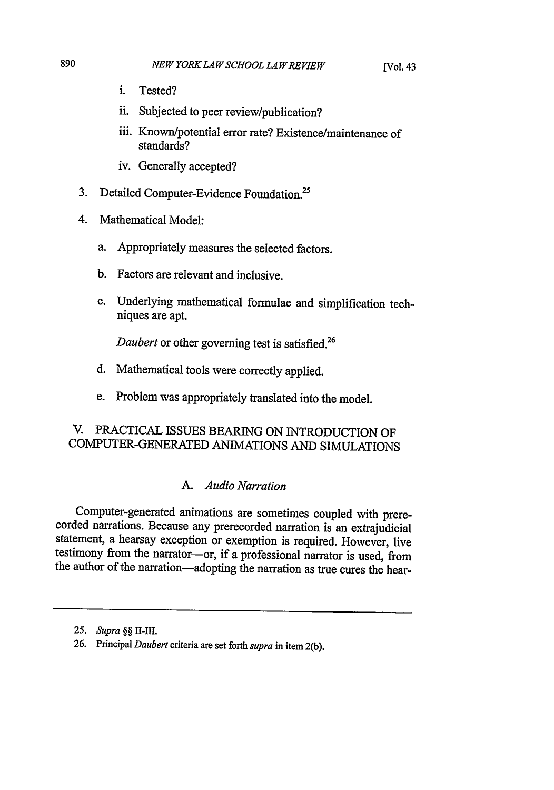- i. Tested?
- ii. Subjected to peer review/publication?
- iii. Known/potential error rate? Existence/maintenance of standards?
- iv. Generally accepted?
- 3. Detailed Computer-Evidence Foundation.
- 4. Mathematical Model:
	- a. Appropriately measures the selected factors.
	- b. Factors are relevant and inclusive.
	- c. Underlying mathematical formulae and simplification techniques are apt.

*Daubert* or other governing test is satisfied.<sup>26</sup>

- d. Mathematical tools were correctly applied.
- e. Problem was appropriately translated into the model.

# V. PRACTICAL ISSUES BEARING ON INTRODUCTION OF COMPUTER-GENERATED ANIMATIONS AND SIMULATIONS

## *A. Audio Narration*

Computer-generated animations are sometimes coupled with prere- corded narrations. Because any prerecorded narration is an extrajudicial statement, a hearsay exception or exemption is required. However, live testimony from the narrator-or, if a professional narrator is used, from the author of the narration-adopting the narration as true cures the hear-

*<sup>25.</sup> Supra §§ II-III.*

**<sup>26.</sup>** Principal *Daubert* criteria are set forth *supra* in item 2(b).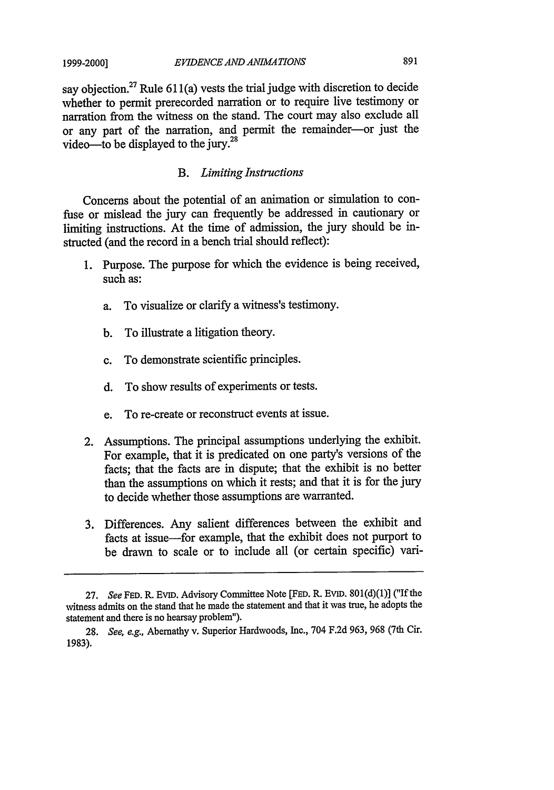say objection.<sup>27</sup> Rule  $611(a)$  vests the trial judge with discretion to decide whether to permit prerecorded narration or to require live testimony or narration from the witness on the stand. The court may also exclude all or any part of the narration, and permit the remainder-or just the video-to be displayed to the jury.<sup>28</sup>

#### *B. Limiting Instructions*

Concerns about the potential of an animation or simulation to confuse or mislead the jury can frequently be addressed in cautionary or limiting instructions. At the time of admission, the jury should be instructed (and the record in a bench trial should reflect):

- 1. Purpose. The purpose for which the evidence is being received, such as:
	- a. To visualize or clarify a witness's testimony.
	- b. To illustrate a litigation theory.
	- c. To demonstrate scientific principles.
	- d. To show results of experiments or tests.
	- e. To re-create or reconstruct events at issue.
- 2. Assumptions. The principal assumptions underlying the exhibit. For example, that it is predicated on one party's versions of the facts; that the facts are in dispute; that the exhibit is no better than the assumptions on which it rests; and that it is for the jury to decide whether those assumptions are warranted.
- 3. Differences. Any salient differences between the exhibit and facts at issue—for example, that the exhibit does not purport to be drawn to scale or to include all (or certain specific) vari-

<sup>27.</sup> *See* **FED.** R. EVID. Advisory Committee Note **[FED.** R. **EVID.** 801(d)(1)] ("If the witness admits on the stand that he made the statement and that it was true, he adopts the statement and there is no hearsay problem").

<sup>28.</sup> *See, e.g.,* Abernathy v. Superior Hardwoods, Inc., 704 F.2d 963, 968 (7th Cir. 1983).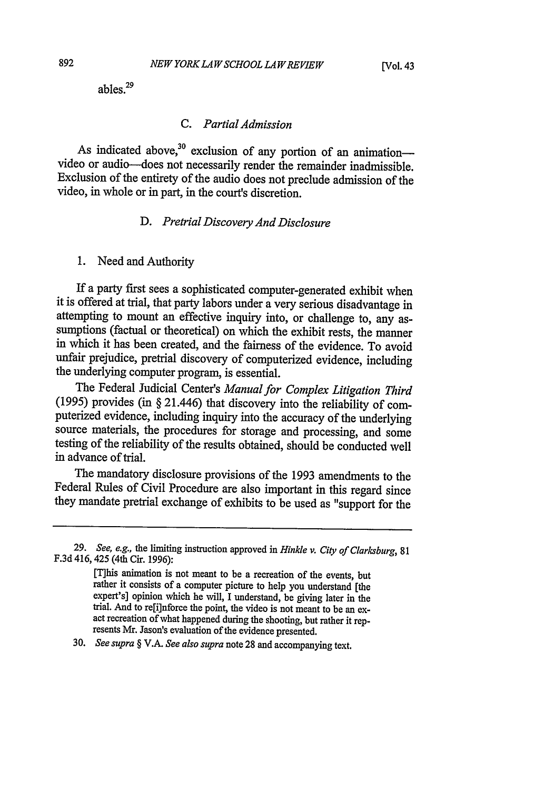ables.29

## *C. Partial Admission*

As indicated above, $30$  exclusion of any portion of an animation-video or audio-does not necessarily render the remainder inadmissible. Exclusion of the entirety of the audio does not preclude admission of the video, in whole or in part, in the court's discretion.

#### *D. Pretrial Discovery And Disclosure*

1. Need and Authority

If a party first sees a sophisticated computer-generated exhibit when it is offered at trial, that party labors under a very serious disadvantage in attempting to mount an effective inquiry into, or challenge to, any assumptions (factual or theoretical) on which the exhibit rests, the manner in which it has been created, and the fairness of the evidence. To avoid unfair prejudice, pretrial discovery of computerized evidence, including the underlying computer program, is essential.

The Federal Judicial Center's *Manual for Complex Litigation Third* (1995) provides (in § 21.446) that discovery into the reliability of computerized evidence, including inquiry into the accuracy of the underlying source materials, the procedures for storage and processing, and some testing of the reliability of the results obtained, should be conducted well in advance of trial.

The mandatory disclosure provisions of the 1993 amendments to the Federal Rules of Civil Procedure are also important in this regard since they mandate pretrial exchange of exhibits to be used as "support for the

[T]his animation is not meant to be a recreation of the events, but rather it consists of a computer picture to help you understand [the expert's] opinion which he will, I understand, be giving later in the trial. And to re[i]nforce the point, the video is not meant to be an exact recreation of what happened during the shooting, but rather it represents Mr. Jason's evaluation of the evidence presented.

30. *See supra §* V.A. *See also supra* note 28 and accompanying text.

<sup>29.</sup> See, e.g., the limiting instruction approved in *Hinkle v. City of Clarksburg,* <sup>81</sup> F.3d 416, 425 (4th Cir. 1996):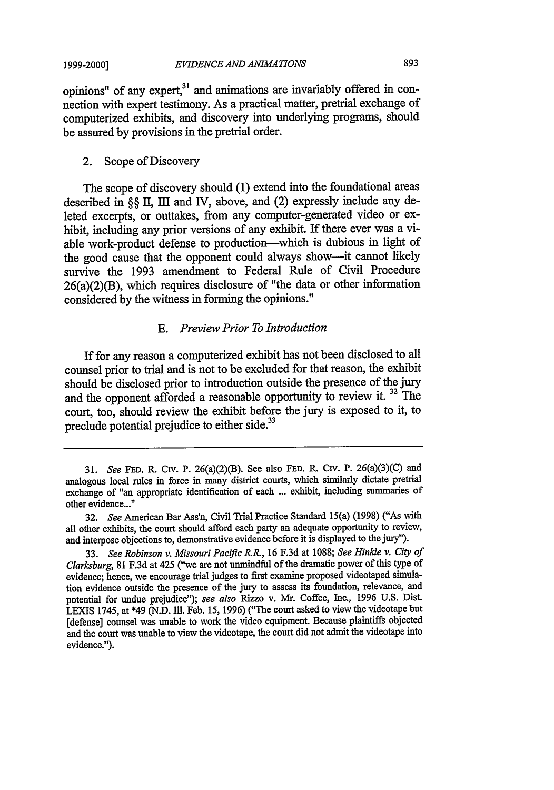opinions" of any expert,<sup>31</sup> and animations are invariably offered in connection with expert testimony. As a practical matter, pretrial exchange of computerized exhibits, and discovery into underlying programs, should be assured by provisions in the pretrial order.

#### 2. Scope of Discovery

The scope of discovery should (1) extend into the foundational areas described in §§ II, III and IV, above, and (2) expressly include any deleted excerpts, or outtakes, from any computer-generated video or exhibit, including any prior versions of any exhibit. If there ever was a viable work-product defense to production—which is dubious in light of the good cause that the opponent could always show-it cannot likely survive the 1993 amendment to Federal Rule of Civil Procedure 26(a)(2)(B), which requires disclosure of "the data or other information considered by the witness in forming the opinions."

## *E. Preview Prior To Introduction*

If for any reason a computerized exhibit has not been disclosed to all counsel prior to trial and is not to be excluded for that reason, the exhibit should be disclosed prior to introduction outside the presence of the jury and the opponent afforded a reasonable opportunity to review it. 32 The court, too, should review the exhibit before the jury is exposed to it, to preclude potential prejudice to either side. $33$ 

*<sup>31.</sup> See* **FED.** R. Civ. P. 26(a)(2)(B). See also FED. R. Civ. P. 26(a)(3)(C) and analogous local rules in force in many district courts, which similarly dictate pretrial exchange of "an appropriate identification of each ... exhibit, including summaries of other evidence..."

<sup>32.</sup> *See* American Bar Ass'n, Civil Trial Practice Standard 15(a) (1998) ("As with all other exhibits, the court should afford each party an adequate opportunity to review, and interpose objections to, demonstrative evidence before it is displayed to the jury").

<sup>33.</sup> *See Robinson v. Missouri Pacific R.R.,* 16 F.3d at 1088; *See Hinkle v. City of Clarksburg,* 81 F.3d at 425 ("we are not unmindful of the dramatic power of this type of evidence; hence, we encourage trial judges to first examine proposed videotaped simulation evidence outside the presence of the jury to assess its foundation, relevance, and potential for undue prejudice"); *see also* Rizzo v. Mr. Coffee, Inc., 1996 U.S. Dist. LEXIS 1745, at \*49 (N.D. Ill. Feb. 15, 1996) ("The court asked to view the videotape but [defense] counsel was unable to work the video equipment. Because plaintiffs objected and the court was unable to view the videotape, the court did not admit the videotape into evidence.").